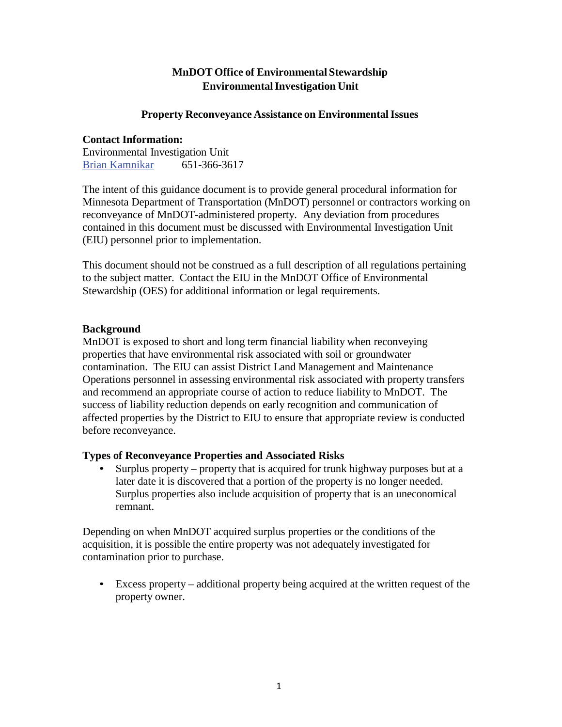# **MnDOT Office of Environmental Stewardship Environmental Investigation Unit**

#### **Property Reconveyance Assistance on Environmental Issues**

#### **Contact Information:**

Environmental Investigation Unit Brian Kamnikar 651-366-3617

The intent of this guidance document is to provide general procedural information for Minnesota Department of Transportation (MnDOT) personnel or contractors working on reconveyance of MnDOT-administered property. Any deviation from procedures contained in this document must be discussed with Environmental Investigation Unit (EIU) personnel prior to implementation.

This document should not be construed as a full description of all regulations pertaining to the subject matter. Contact the EIU in the MnDOT Office of Environmental Stewardship (OES) for additional information or legal requirements.

## **Background**

MnDOT is exposed to short and long term financial liability when reconveying properties that have environmental risk associated with soil or groundwater contamination. The EIU can assist District Land Management and Maintenance Operations personnel in assessing environmental risk associated with property transfers and recommend an appropriate course of action to reduce liability to MnDOT. The success of liability reduction depends on early recognition and communication of affected properties by the District to EIU to ensure that appropriate review is conducted before reconveyance.

## **Types of Reconveyance Properties and Associated Risks**

• Surplus property – property that is acquired for trunk highway purposes but at a later date it is discovered that a portion of the property is no longer needed. Surplus properties also include acquisition of property that is an uneconomical remnant.

Depending on when MnDOT acquired surplus properties or the conditions of the acquisition, it is possible the entire property was not adequately investigated for contamination prior to purchase.

• Excess property – additional property being acquired at the written request of the property owner.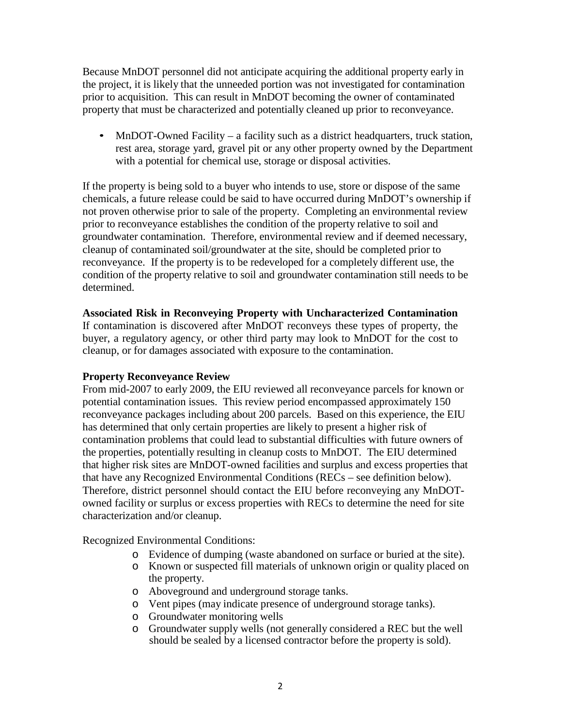Because MnDOT personnel did not anticipate acquiring the additional property early in the project, it is likely that the unneeded portion was not investigated for contamination prior to acquisition. This can result in MnDOT becoming the owner of contaminated property that must be characterized and potentially cleaned up prior to reconveyance.

• MnDOT-Owned Facility – a facility such as a district headquarters, truck station, rest area, storage yard, gravel pit or any other property owned by the Department with a potential for chemical use, storage or disposal activities.

If the property is being sold to a buyer who intends to use, store or dispose of the same chemicals, a future release could be said to have occurred during MnDOT's ownership if not proven otherwise prior to sale of the property. Completing an environmental review prior to reconveyance establishes the condition of the property relative to soil and groundwater contamination. Therefore, environmental review and if deemed necessary, cleanup of contaminated soil/groundwater at the site, should be completed prior to reconveyance. If the property is to be redeveloped for a completely different use, the condition of the property relative to soil and groundwater contamination still needs to be determined.

## **Associated Risk in Reconveying Property with Uncharacterized Contamination**

If contamination is discovered after MnDOT reconveys these types of property, the buyer, a regulatory agency, or other third party may look to MnDOT for the cost to cleanup, or for damages associated with exposure to the contamination.

## **Property Reconveyance Review**

From mid-2007 to early 2009, the EIU reviewed all reconveyance parcels for known or potential contamination issues. This review period encompassed approximately 150 reconveyance packages including about 200 parcels. Based on this experience, the EIU has determined that only certain properties are likely to present a higher risk of contamination problems that could lead to substantial difficulties with future owners of the properties, potentially resulting in cleanup costs to MnDOT. The EIU determined that higher risk sites are MnDOT-owned facilities and surplus and excess properties that that have any Recognized Environmental Conditions (RECs – see definition below). Therefore, district personnel should contact the EIU before reconveying any MnDOTowned facility or surplus or excess properties with RECs to determine the need for site characterization and/or cleanup.

Recognized Environmental Conditions:

- o Evidence of dumping (waste abandoned on surface or buried at the site).
- o Known or suspected fill materials of unknown origin or quality placed on the property.
- o Aboveground and underground storage tanks.
- o Vent pipes (may indicate presence of underground storage tanks).
- o Groundwater monitoring wells
- o Groundwater supply wells (not generally considered a REC but the well should be sealed by a licensed contractor before the property is sold).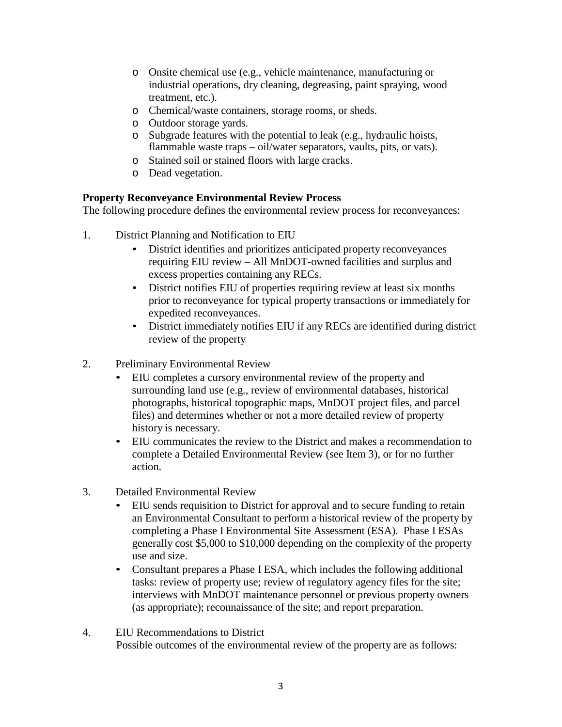- o Onsite chemical use (e.g., vehicle maintenance, manufacturing or industrial operations, dry cleaning, degreasing, paint spraying, wood treatment, etc.).
- o Chemical/waste containers, storage rooms, or sheds.
- o Outdoor storage yards.
- o Subgrade features with the potential to leak (e.g., hydraulic hoists, flammable waste traps – oil/water separators, vaults, pits, or vats).
- o Stained soil or stained floors with large cracks.
- o Dead vegetation.

#### **Property Reconveyance Environmental Review Process**

The following procedure defines the environmental review process for reconveyances:

- 1. District Planning and Notification to EIU
	- District identifies and prioritizes anticipated property reconveyances requiring EIU review – All MnDOT-owned facilities and surplus and excess properties containing any RECs.
	- District notifies EIU of properties requiring review at least six months prior to reconveyance for typical property transactions or immediately for expedited reconveyances.
	- District immediately notifies EIU if any RECs are identified during district review of the property
- 2. Preliminary Environmental Review
	- EIU completes a cursory environmental review of the property and surrounding land use (e.g., review of environmental databases, historical photographs, historical topographic maps, MnDOT project files, and parcel files) and determines whether or not a more detailed review of property history is necessary.
	- EIU communicates the review to the District and makes a recommendation to complete a Detailed Environmental Review (see Item 3), or for no further action.
- 3. Detailed Environmental Review
	- EIU sends requisition to District for approval and to secure funding to retain an Environmental Consultant to perform a historical review of the property by completing a Phase I Environmental Site Assessment (ESA). Phase I ESAs generally cost \$5,000 to \$10,000 depending on the complexity of the property use and size.
	- Consultant prepares a Phase I ESA, which includes the following additional tasks: review of property use; review of regulatory agency files for the site; interviews with MnDOT maintenance personnel or previous property owners (as appropriate); reconnaissance of the site; and report preparation.
- 4. EIU Recommendations to District Possible outcomes of the environmental review of the property are as follows: